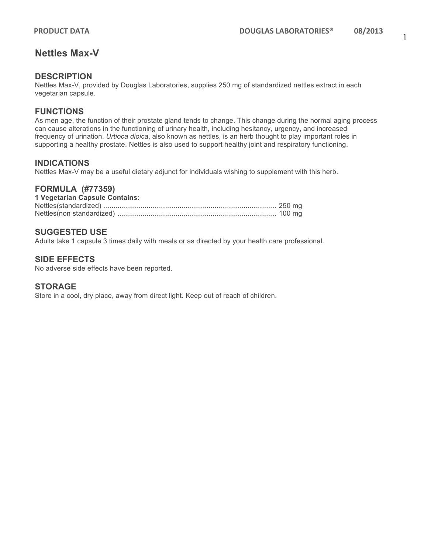## **Nettles Max-V**

### **DESCRIPTION**

Nettles Max-V, provided by Douglas Laboratories, supplies 250 mg of standardized nettles extract in each vegetarian capsule.

## **FUNCTIONS**

As men age, the function of their prostate gland tends to change. This change during the normal aging process can cause alterations in the functioning of urinary health, including hesitancy, urgency, and increased frequency of urination. *Urtioca dioica*, also known as nettles, is an herb thought to play important roles in supporting a healthy prostate. Nettles is also used to support healthy joint and respiratory functioning.

#### **INDICATIONS**

Nettles Max-V may be a useful dietary adjunct for individuals wishing to supplement with this herb.

#### **FORMULA (#77359)**

| 1 Vegetarian Capsule Contains: |  |
|--------------------------------|--|
|                                |  |
|                                |  |

#### **SUGGESTED USE**

Adults take 1 capsule 3 times daily with meals or as directed by your health care professional.

#### **SIDE EFFECTS**

No adverse side effects have been reported.

#### **STORAGE**

Store in a cool, dry place, away from direct light. Keep out of reach of children.